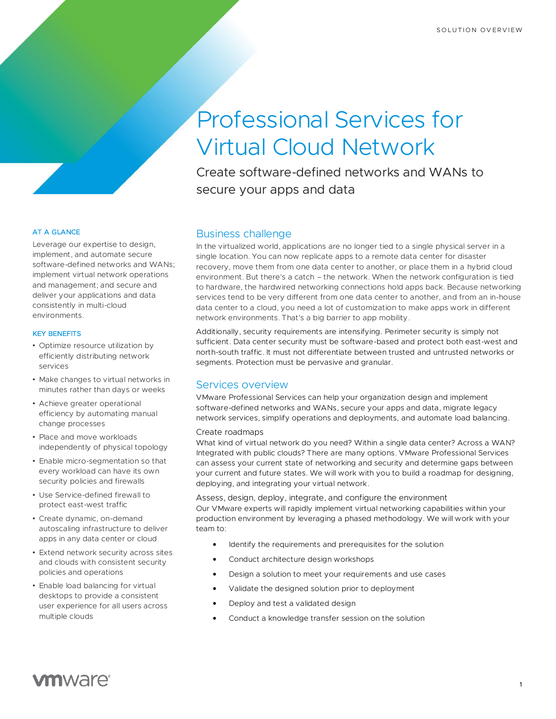# Professional Services for Virtual Cloud Network

Create software-defined networks and WANs to secure your apps and data

### AT A GLANCE

Leverage our expertise to design, implement, and automate secure software-defined networks and WANs; implement virtual network operations and management; and secure and deliver your applications and data consistently in multi-cloud environments.

#### KEY BENEFITS

- Optimize resource utilization by efficiently distributing network services
- Make changes to virtual networks in minutes rather than days or weeks
- Achieve greater operational efficiency by automating manual change processes
- Place and move workloads independently of physical topology
- Enable micro-segmentation so that every workload can have its own security policies and firewalls
- Use Service-defined firewall to protect east-west traffic
- Create dynamic, on-demand autoscaling infrastructure to deliver apps in any data center or cloud
- Extend network security across sites and clouds with consistent security policies and operations
- Enable load balancing for virtual desktops to provide a consistent user experience for all users across multiple clouds

# Business challenge

In the virtualized world, applications are no longer tied to a single physical server in a single location. You can now replicate apps to a remote data center for disaster recovery, move them from one data center to another, or place them in a hybrid cloud environment. But there's a catch – the network. When the network configuration is tied to hardware, the hardwired networking connections hold apps back. Because networking services tend to be very different from one data center to another, and from an in-house data center to a cloud, you need a lot of customization to make apps work in different network environments. That's a big barrier to app mobility.

Additionally, security requirements are intensifying. Perimeter security is simply not sufficient. Data center security must be software-based and protect both east-west and north-south traffic. It must not differentiate between trusted and untrusted networks or segments. Protection must be pervasive and granular.

# Services overview

VMware Professional Services can help your organization design and implement software-defined networks and WANs, secure your apps and data, migrate legacy network services, simplify operations and deployments, and automate load balancing.

#### Create roadmaps

What kind of virtual network do you need? Within a single data center? Across a WAN? Integrated with public clouds? There are many options. VMware Professional Services can assess your current state of networking and security and determine gaps between your current and future states. We will work with you to build a roadmap for designing, deploying, and integrating your virtual network.

Assess, design, deploy, integrate, and configure the environment Our VMware experts will rapidly implement virtual networking capabilities within your production environment by leveraging a phased methodology. We will work with your team to:

- Identify the requirements and prerequisites for the solution
- Conduct architecture design workshops
- Design a solution to meet your requirements and use cases
- Validate the designed solution prior to deployment
- Deploy and test a validated design
- Conduct a knowledge transfer session on the solution

# **vm**ware<sup>®</sup>